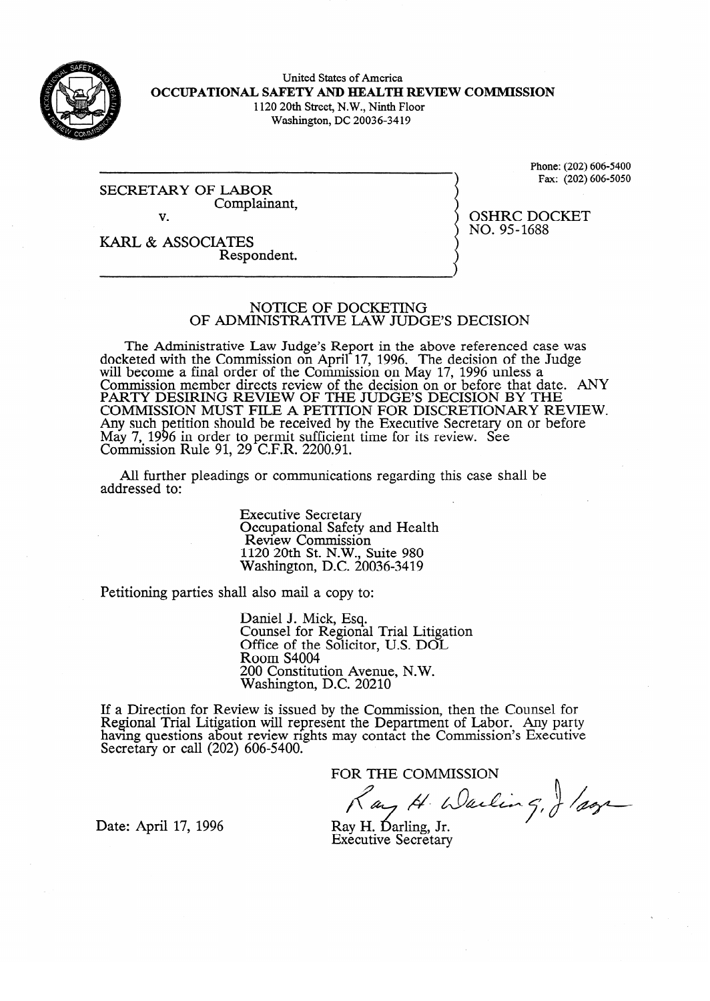

United States of America **OCCUPATIONAL SAFETY AND HEALTH REVIEW COMMISSION**  1120 20th Street, N.W., Ninth Floor

Washington, DC 20036-34 19

 $S = S = S$ Complainant,  $\overline{\mathbf{V}}$ .

Phone:  $(202)$  606-5100<br>Fax:  $(202)$  606-5050  $F_{\rm{max}}$  (202) 606-5050

KARL & ASSOCIATES Respondent.

# OSHRC DOCKET<br>NO. 95-1688  $\cdots$

NOTICE OF DOCKETING OF ADMINISTRATIVE LAW JUDGE'S DECISION

OF ADMINISTRATIVE **LAW JUDGE'S DECISION**   $\frac{1}{2}$  ceted with the Commission on April 17, 1996. The decision of the Judge will become a final order of the Commission on May  $1/$ , 1996 unless a Commission member directs review of the decision on or before that date.<br>BARTY DESIDING BEVIEW OF THE HIDGES DECISION BY THE PARTY DESIRING REVIEW OF THE JUDGE'S DECISION BY THE COMMISSION MEMBER DECISION. COMMISSION MUST FILE A PETITION FOR DISCRETIONARY REVIEW. Any such petition should be received by the Executive Secretary on or before  $\frac{May}{C}$ , 1990 III ON Commission Ruie  $\frac{1}{2}$  $\lambda_1$ to permit sufficient time for its  $20 \degree C$  E D  $2200 \degree 01$  $29$  C.F.K.  $2200.91$ .  $See$  see

All further pleadings or communication  $A$ l further pleadings or communications regarding the communications regarding the case shall be shall be shall be shall be shall be shall be shall be shall be shall be shall be shall be shall be shall be shall be shall

> **Executive Secretary Executive Secretary**<br>Review Commissio  $1120$  20th St. N.W. Suite 980  $N$ ashington, D.C. 20 1120 20th St. N.W., Suite 980

Petitioning parties shall also mail a copy to:

Daniel J. Mick, Esq.<br>Counsel for Regional Trial Litigation Office of the Solicitor, U.S. DOL Room S4004 200 Constitution Avenue, N.W. Washington, D.C. 20210

 $\overline{\phantom{a}}$  $\text{few}$  is issued by the Com naving questions about review rights may contact the Commission's Executiv Secretary or call  $(202)$  600-5400.

FOR THE COMMISSION

Ray H. Warling, J /agr

Date: April 17, 1996

Executive Secretary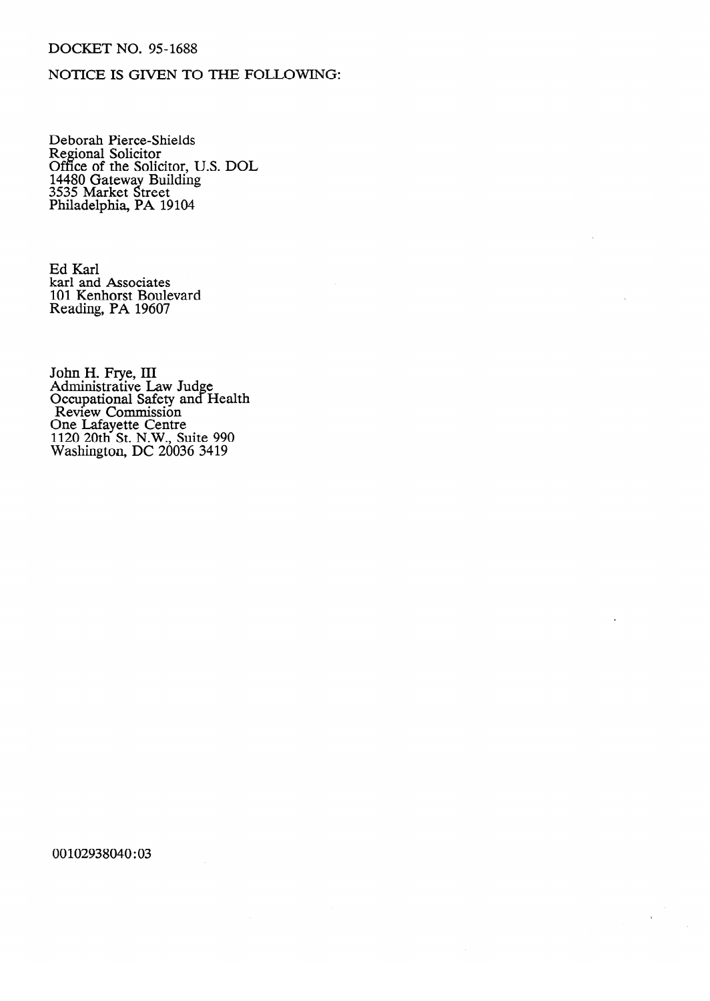## DOCKET NO. 95-1688

### NOTICE IS GIVEN TO THE FOLLOWING:

Deborah Tierce-Shield<br>Regional Solicitor Regional Solicitor<br>Office of the Soli Office of the Solicitor, D.S. DOL 11100 Gateway Building 3555 Market street<br>Philadelphia, PA 1 Philadelphia, **PA 19104** 

Ed Karl karl and 101 Kenhorst Boul Reading, PA 19607

Administrative L Occupational Safety and e Review Commission<br>One I eferente Centre Jue Laiayeue Cellu<br>120 20th St N W 1120 2011 St. N. W., S<br>Weshington, DC 2003  $\frac{1}{200}$  2000 2412

00102938040:03

 $\hat{\mathbf{r}}$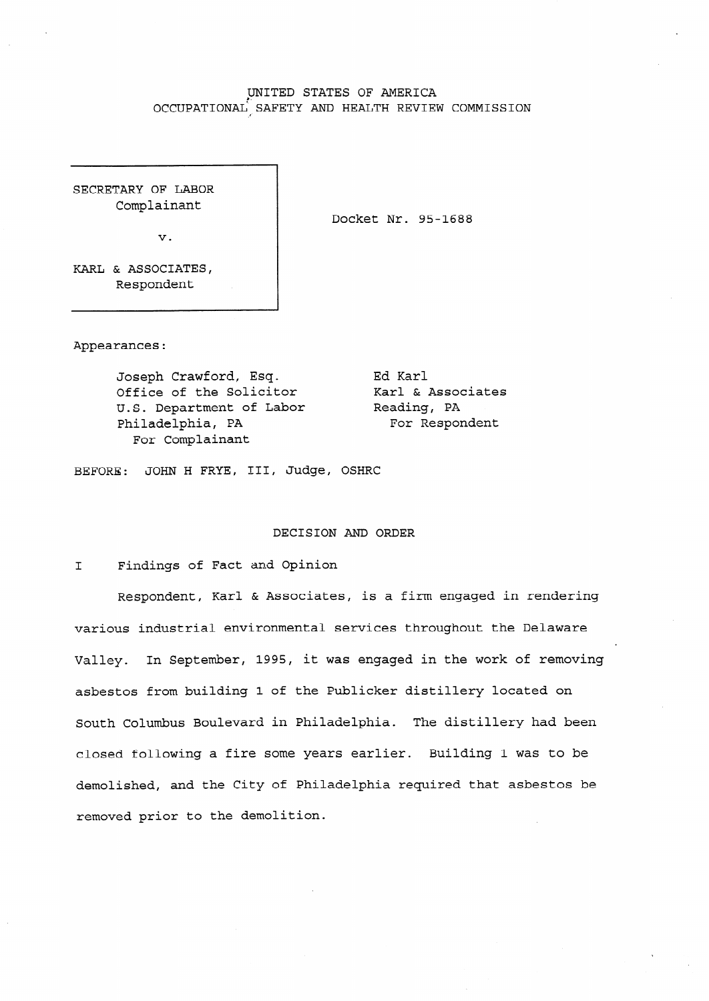#### UNITED STATES OF AMERICA OCCUPATIONAL'.SAFETY AND HEALTH REVIEW COMMISSION

SECRETARY OF LABOR Complainant

**V.** 

Docket Nr. 95-1688

KARL & ASSOCIATES, Respondent

Appearances:

Joseph Crawford, Esq. Office of the Solicitor U.S. Department of Labor Philadelphia, PA For Complainant

Ed Karl Karl & Associates Reading, PA For Respondent

BEFORE: JOHN H FRYE, III, Judge, OSHRC

#### DECISION AND ORDER

I **Findings** of Fact and Opinion

Respondent, Karl & Associates, is a firm engaged in rendering various industrial environmental services throughout the Delaware Valley. In September, 1995, it was engaged in the work of removing asbestos from building 1 of the Publicker distillery located on South Columbus Boulevard in Philadelphia. The distillery had been closed following a fire some years earlier. Building 1 was to be demolished, and the City of Philadelphia required that asbestos be **removed prior** to the demolition.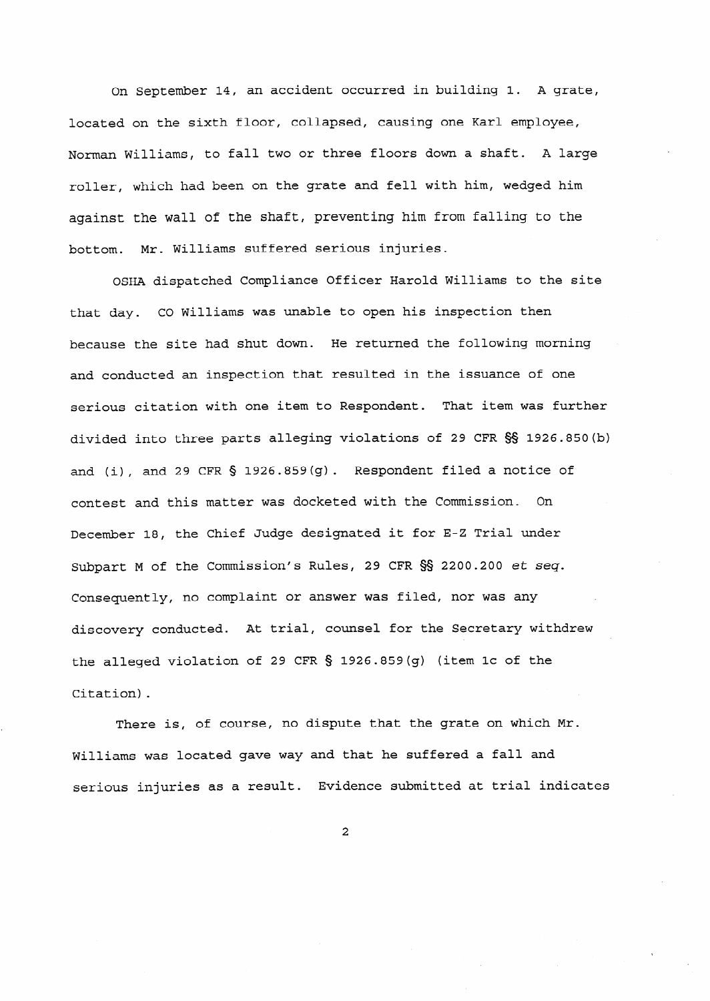On September 14, an accident occurred in building **1.** A grate, located on the sixth floor, collapsed, causing one Karl employee, Norman Williams, to fall two or three floors down a shaft. A large roller, which had been on the grate and fell with him, wedged him against the wall of the shaft, preventing him from falling to the bottom. Mr. Williams suffered serious injuries.

OSHA dispatched Compliance Officer Harold Williams to the site that day. CO Williams was unable to open his inspection then because the site had shut down. He returned the following morning and conducted an inspection that resulted in the issuance of one serious citation with one item to Respondent. That item was further divided into three parts alleging violations of 29 CFR SS 1926.850(b) and (i), and 29 CFR § 1926.859(g). Respondent filed a notice of contest and this matter was docketed with the Commission. On December **18,** the Chief Judge designated it for E-Z Trial under **Subpart M of** the Commission's Rules, 29 CFR §§ 2200.200 *et seq.*  Consequently, no complaint or answer was filed, nor was any discovery conducted. At trial, counsel for the Secretary withdrew the **alleged** violation of 29 CFR 5 1926.859(g) (item lc of the Citation).

There is, of course, no dispute that the grate on which Mr. Williams was located gave way and that he suffered a fall and serious injuries as a result. Evidence submitted at trial indicates

**2**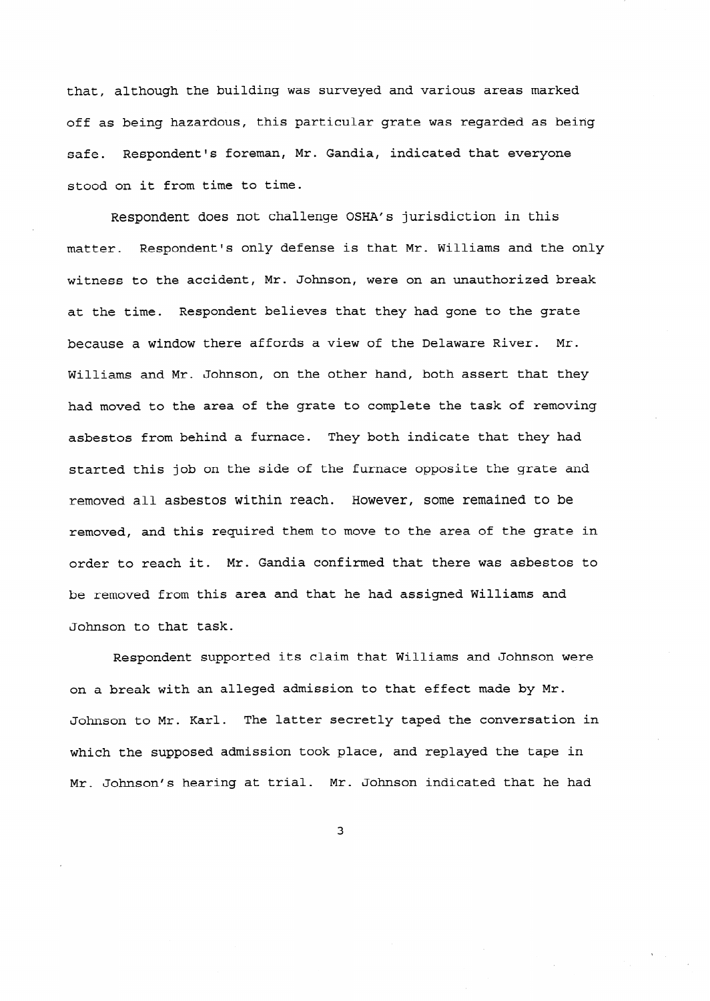that, although the building was surveyed and various areas marked off as being hazardous, this particular grate was regarded as being safe. Respondent's foreman, Mr. Gandia, indicated that everyone stood on it from time to time.

Respondent does not challenge OSHA's jurisdiction in this matter. Respondent's only defense is that Mr. Williams and the only witness to the accident, Mr. Johnson, were on an unauthorized break at the time. Respondent believes that they had gone to the grate because a window there affords a view of the Delaware River. Mr. Williams and Mr. Johnson, on the other hand, both assert that they had moved to the area of the grate to complete the task of removing asbestos from behind a furnace. They both indicate that they had started this job on the side of the furnace opposite the grate and removed all asbestos within reach. However, some remained to be removed, and this required them to move to the area of the grate in order to reach it. Mr. Gandia confirmed that there was asbestos to be removed from this area and that he had assigned Williams and Johnson to that task.

Respondent supported its claim that Williams and Johnson were on a break with an alleged admission to that effect made by Mr. Johnson to Mr. Karl. The latter secretly taped the conversation in which the supposed admission took place, and replayed the tape in Mr. Johnson's hearing at trial. Mr. Johnson indicated that he had

3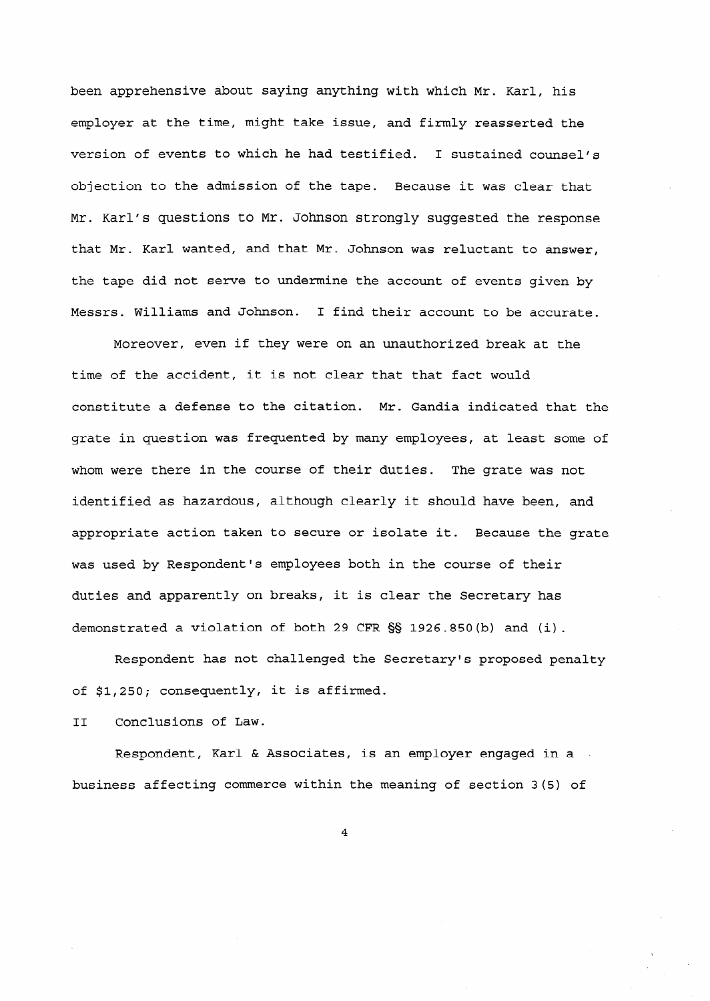been apprehensive about saying anything with which Mr. Karl, his employer at the time, might take issue, and firmly reasserted the version of events to which he had testified. I sustained counsel's objection to the admission of the tape. Because it was clear that Mr. Karl's questions to Mr. Johnson strongly suggested the response that Mr. Karl wanted, and that Mr- Johnson was reluctant to answer, the tape did not serve to undermine the account of events given by Messrs. Williams and Johnson. I find their account to be accurate.

Moreover, even if they were on an unauthorized break at the time of the accident, it is not clear that that fact would constitute a defense to the citation. Mr. Gandia indicated that the grate in question was frequented by many employees, at least some of whom were there in the course of their duties. The grate was not identified as hazardous, although clearly it should have been, and appropriate action taken to secure or isolate it. Because the grate was used by Respondent's employees both in the course of their duties and apparently on breaks, it is clear the Secretary has demonstrated a violation of both 29 CFR  $\S$ § 1926.850(b) and (i).

Respondent has not challenged the Secretary's proposed penalty of \$1,250; consequently, it is affirmed.

II Conclusions of Law-

Respondent, Karl & Associates, is an employer engaged in a , business affecting commerce within the meaning of section 3(5) of

4